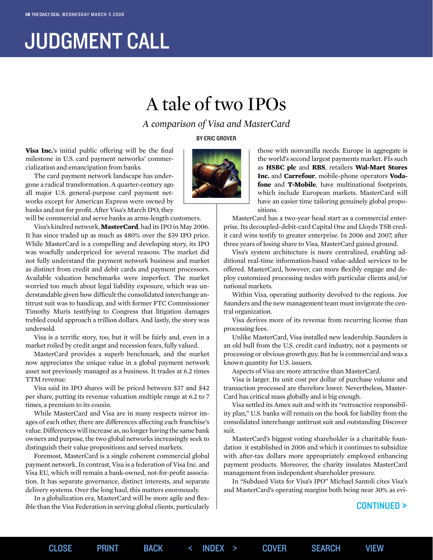# JUDGMENT CALL

## A tale of two IPOs

*A comparison of Visa and MasterCard*

By eric grover

**Visa Inc.**'s initial public offering will be the final milestone in U.S. card payment networks' commercialization and emancipation from banks.

The card payment network landscape has undergone a radical transformation. A quarter-century ago all major U.S. general-purpose card payment networks except for American Express were owned by banks and not for profit. After Visa's March IPO, they

will be commercial and serve banks as arms-length customers.

Visa's kindred network, **MasterCard**, had its IPO in May 2006. It has since traded up as much as 480% over the \$39 IPO price. While MasterCard is a compelling and developing story, its IPO was woefully underpriced for several reasons. The market did not fully understand the payment network business and market as distinct from credit and debit cards and payment processors. Available valuation benchmarks were imperfect. The market worried too much about legal liability exposure, which was understandable given how difficult the consolidated interchange antitrust suit was to handicap, and with former FTC Commissioner Timothy Muris testifying to Congress that litigation damages trebled could approach a trillion dollars. And lastly, the story was undersold.

Visa is a terrific story, too, but it will be fairly and, even in a market roiled by credit angst and recession fears, fully valued.

MasterCard provides a superb benchmark, and the market now appreciates the unique value in a global payment network asset not previously managed as a business. It trades at 6.2 times TTM revenue.

Visa said its IPO shares will be priced between \$37 and \$42 per share, putting its revenue valuation multiple range at 6.2 to 7 times, a premium to its cousin.

While MasterCard and Visa are in many respects mirror images of each other, there are differences affecting each franchise's value. Differences will increase as, no longer having the same bank owners and purpose, the two global networks increasingly seek to distinguish their value propositions and served markets.

Foremost, MasterCard is a single coherent commercial global payment network. In contrast, Visa is a federation of Visa Inc. and Visa EU, which will remain a bank-owned, not-for-profit association. It has separate governance, distinct interests, and separate delivery systems. Over the long haul, this matters enormously.

In a globalization era, MasterCard will be more agile and flexible than the Visa Federation in serving global clients, particularly



those with nonvanilla needs. Europe in aggregate is the world's second largest payments market. FIs such as **HSBC plc** and **RBS**, retailers **Wal-Mart Stores Inc.** and **Carrefour**, mobile-phone operators **Vodafone** and **T-Mobile**, have multinational footprints, which include European markets. MasterCard will have an easier time tailoring genuinely global propositions.

MasterCard has a two-year head start as a commercial enterprise. Its decoupled-debit-card Capital One and Lloyds TSB credit card wins testify to greater enterprise. In 2006 and 2007, after three years of losing share to Visa, MasterCard gained ground.

Visa's system architecture is more centralized, enabling additional real-time information-based value-added services to be offered. MasterCard, however, can more flexibly engage and deploy customized processing nodes with particular clients and/or national markets.

Within Visa, operating authority devolved to the regions. Joe Saunders and the new management team must invigorate the central organization.

Visa derives more of its revenue from recurring license than processing fees.

Unlike MasterCard, Visa installed new leadership. Saunders is an old bull from the U.S. credit card industry, not a payments or processing or obvious growth guy. But he is commercial and was a known quantity for U.S. issuers.

Aspects of Visa are more attractive than MasterCard.

Visa is larger. Its unit cost per dollar of purchase volume and transaction processed are therefore lower. Nevertheless, Master-Card has critical mass globally and is big enough.

Visa settled its Amex suit and with its "retroactive responsibility plan," U.S. banks will remain on the hook for liability from the consolidated interchange antitrust suit and outstanding Discover suit.

MasterCard's biggest voting shareholder is a charitable foundation it established in 2006 and which it continues to subsidize with after-tax dollars more appropriately employed enhancing payment products. Moreover, the charity insulates MasterCard management from independent shareholder pressure.

In "Subdued Vista for Visa's IPO" Michael Santoli cites Visa's and MasterCard's operating margins both being near 30% as evi-

#### CONTINUED >

close print back < Index > cover search view